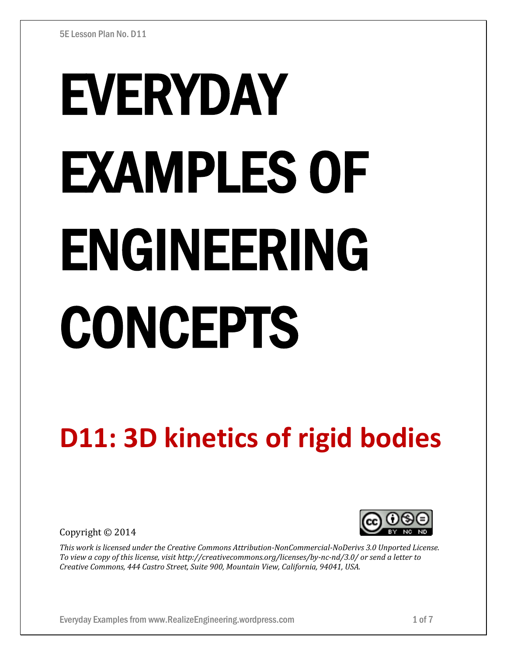# EVERYDAY EXAMPLES OF ENGINEERING **CONCEPTS**

# **D11: 3D kinetics of rigid bodies**

Copyright © 2014



*This work is licensed under the Creative Commons Attribution-NonCommercial-NoDerivs 3.0 Unported License. To view a copy of this license, visit http://creativecommons.org/licenses/by-nc-nd/3.0/ or send a letter to Creative Commons, 444 Castro Street, Suite 900, Mountain View, California, 94041, USA.*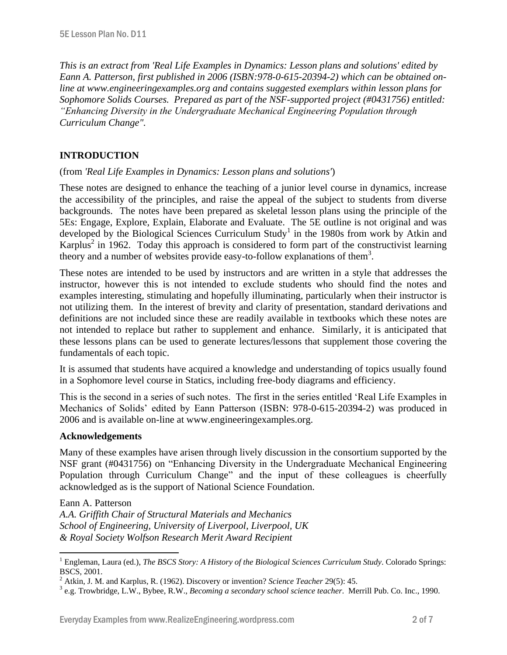*This is an extract from 'Real Life Examples in Dynamics: Lesson plans and solutions' edited by Eann A. Patterson, first published in 2006 (ISBN:978-0-615-20394-2) which can be obtained online at www.engineeringexamples.org and contains suggested exemplars within lesson plans for Sophomore Solids Courses. Prepared as part of the NSF-supported project (#0431756) entitled: "Enhancing Diversity in the Undergraduate Mechanical Engineering Population through Curriculum Change".* 

# **INTRODUCTION**

#### (from *'Real Life Examples in Dynamics: Lesson plans and solutions'*)

These notes are designed to enhance the teaching of a junior level course in dynamics, increase the accessibility of the principles, and raise the appeal of the subject to students from diverse backgrounds. The notes have been prepared as skeletal lesson plans using the principle of the 5Es: Engage, Explore, Explain, Elaborate and Evaluate. The 5E outline is not original and was developed by the Biological Sciences Curriculum Study<sup>1</sup> in the 1980s from work by Atkin and Karplus<sup>2</sup> in 1962. Today this approach is considered to form part of the constructivist learning theory and a number of websites provide easy-to-follow explanations of them<sup>3</sup>.

These notes are intended to be used by instructors and are written in a style that addresses the instructor, however this is not intended to exclude students who should find the notes and examples interesting, stimulating and hopefully illuminating, particularly when their instructor is not utilizing them. In the interest of brevity and clarity of presentation, standard derivations and definitions are not included since these are readily available in textbooks which these notes are not intended to replace but rather to supplement and enhance. Similarly, it is anticipated that these lessons plans can be used to generate lectures/lessons that supplement those covering the fundamentals of each topic.

It is assumed that students have acquired a knowledge and understanding of topics usually found in a Sophomore level course in Statics, including free-body diagrams and efficiency.

This is the second in a series of such notes. The first in the series entitled 'Real Life Examples in Mechanics of Solids' edited by Eann Patterson (ISBN: 978-0-615-20394-2) was produced in 2006 and is available on-line at www.engineeringexamples.org.

#### **Acknowledgements**

 $\overline{a}$ 

Many of these examples have arisen through lively discussion in the consortium supported by the NSF grant (#0431756) on "Enhancing Diversity in the Undergraduate Mechanical Engineering Population through Curriculum Change" and the input of these colleagues is cheerfully acknowledged as is the support of National Science Foundation.

Eann A. Patterson *A.A. Griffith Chair of Structural Materials and Mechanics School of Engineering, University of Liverpool, Liverpool, UK & Royal Society Wolfson Research Merit Award Recipient*

<sup>1</sup> Engleman, Laura (ed.), *The BSCS Story: A History of the Biological Sciences Curriculum Study*. Colorado Springs: BSCS, 2001.

<sup>2</sup> Atkin, J. M. and Karplus, R. (1962). Discovery or invention? *Science Teacher* 29(5): 45.

<sup>3</sup> e.g. Trowbridge, L.W., Bybee, R.W., *Becoming a secondary school science teacher*. Merrill Pub. Co. Inc., 1990.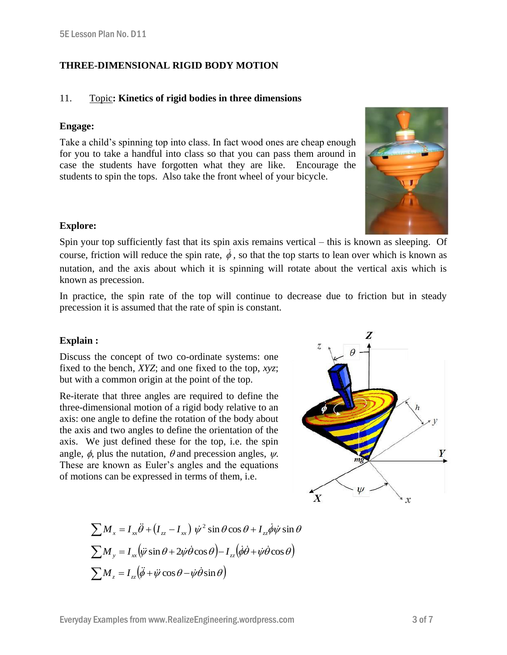## **THREE-DIMENSIONAL RIGID BODY MOTION**

#### 11. Topic**: Kinetics of rigid bodies in three dimensions**

#### **Engage:**

Take a child's spinning top into class. In fact wood ones are cheap enough for you to take a handful into class so that you can pass them around in case the students have forgotten what they are like. Encourage the students to spin the tops. Also take the front wheel of your bicycle.



#### **Explore:**

Spin your top sufficiently fast that its spin axis remains vertical – this is known as sleeping. Of course, friction will reduce the spin rate,  $\dot{\phi}$ , so that the top starts to lean over which is known as nutation, and the axis about which it is spinning will rotate about the vertical axis which is known as precession.

In practice, the spin rate of the top will continue to decrease due to friction but in steady precession it is assumed that the rate of spin is constant.

#### **Explain :**

Discuss the concept of two co-ordinate systems: one fixed to the bench, *XYZ*; and one fixed to the top, *xyz*; but with a common origin at the point of the top.

Re-iterate that three angles are required to define the three-dimensional motion of a rigid body relative to an axis: one angle to define the rotation of the body about the axis and two angles to define the orientation of the axis. We just defined these for the top, i.e. the spin angle,  $\phi$ , plus the nutation,  $\theta$  and precession angles,  $\psi$ . These are known as Euler's angles and the equations of motions can be expressed in terms of them, i.e.



$$
\sum M_{x} = I_{xx} \ddot{\theta} + (I_{zz} - I_{xx}) \dot{\psi}^{2} \sin \theta \cos \theta + I_{zz} \dot{\phi} \dot{\psi} \sin \theta
$$
  

$$
\sum M_{y} = I_{xx} (\ddot{\psi} \sin \theta + 2 \dot{\psi} \dot{\theta} \cos \theta) - I_{zz} (\dot{\phi} \dot{\theta} + \dot{\psi} \dot{\theta} \cos \theta)
$$
  

$$
\sum M_{z} = I_{zz} (\ddot{\phi} + \ddot{\psi} \cos \theta - \dot{\psi} \dot{\theta} \sin \theta)
$$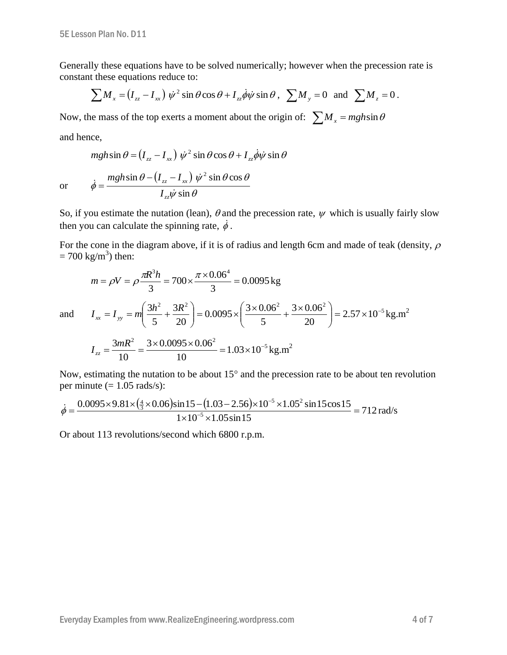Generally these equations have to be solved numerically; however when the precession rate is constant these equations reduce to:

$$
\sum M_{x} = (I_{zz} - I_{xx}) \dot{\psi}^{2} \sin \theta \cos \theta + I_{zz} \dot{\phi} \dot{\psi} \sin \theta, \sum M_{y} = 0 \text{ and } \sum M_{z} = 0.
$$

Now, the mass of the top exerts a moment about the origin of:  $\sum M_x = mgh\sin\theta$ 

and hence,

$$
mgh\sin\theta = (I_{zz} - I_{xx}) \dot{\psi}^2 \sin\theta \cos\theta + I_{zz} \dot{\phi}\dot{\psi} \sin\theta
$$

or  $(I_{zz} - I_{rr})$  $\dot{\psi}$  sin  $\theta$  $\theta - (I_{zz} - I_{xx}) \psi^2 \sin \theta \cos \theta$  $\phi = \frac{S}{I_{zz}\dot{\psi} \sin \theta}$  $\sin \theta - (I_{zz} - I_{xx}) \psi^2 \sin \theta \cos \theta$ ÿ  $\dot{\phi} = \frac{mgh\sin\theta - (I_{zz} - I_{xx})\dot{\psi}}{g}$ *zz zz xx I*  $mgh \sin \theta - (I_{zz} - I)$  $=$ 

So, if you estimate the nutation (lean),  $\theta$  and the precession rate,  $\psi$  which is usually fairly slow then you can calculate the spinning rate,  $\dot{\phi}$ .

For the cone in the diagram above, if it is of radius and length 6cm and made of teak (density,  $\rho$  $= 700 \text{ kg/m}^3$ ) then:

$$
m = \rho V = \rho \frac{\pi R^3 h}{3} = 700 \times \frac{\pi \times 0.06^4}{3} = 0.0095 \text{ kg}
$$
  
and 
$$
I_{xx} = I_{yy} = m \left( \frac{3h^2}{5} + \frac{3R^2}{20} \right) = 0.0095 \times \left( \frac{3 \times 0.06^2}{5} + \frac{3 \times 0.06^2}{20} \right) = 2.57 \times 10^{-5} \text{ kg.m}^2
$$

 $\setminus$ 

$$
I_{zz} = \frac{3mR^2}{10} = \frac{3 \times 0.0095 \times 0.06^2}{10} = 1.03 \times 10^{-5} \,\text{kg.m}^2
$$

 $\bigg)$ 

20

5

 $\setminus$ 

Now, estimating the nutation to be about  $15^{\circ}$  and the precession rate to be about ten revolution per minute  $(= 1.05 \text{ rads/s})$ :

5

20

 $\bigg)$ 

$$
\dot{\phi} = \frac{0.0095 \times 9.81 \times \left(\frac{4}{3} \times 0.06\right) \sin 15 - (1.03 - 2.56) \times 10^{-5} \times 1.05^2 \sin 15 \cos 15}{1 \times 10^{-5} \times 1.05 \sin 15} = 712 \text{ rad/s}
$$

Or about 113 revolutions/second which 6800 r.p.m.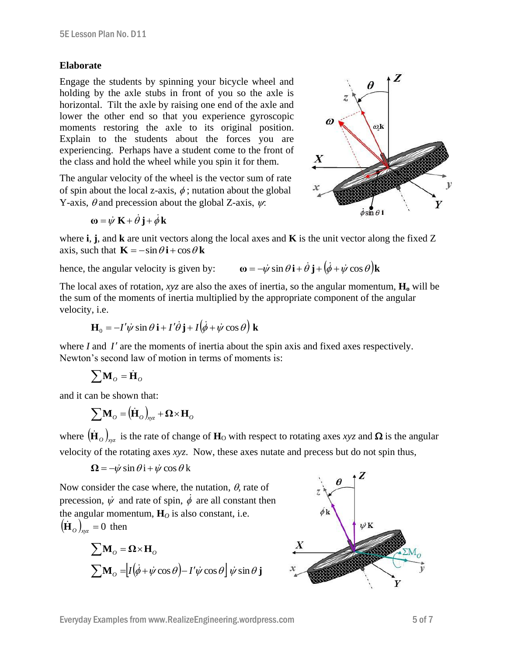#### **Elaborate**

Engage the students by spinning your bicycle wheel and holding by the axle stubs in front of you so the axle is horizontal. Tilt the axle by raising one end of the axle and lower the other end so that you experience gyroscopic moments restoring the axle to its original position. Explain to the students about the forces you are experiencing. Perhaps have a student come to the front of the class and hold the wheel while you spin it for them.

The angular velocity of the wheel is the vector sum of rate of spin about the local z-axis,  $\phi$ ; nutation about the global Y-axis,  $\theta$  and precession about the global Z-axis,  $\psi$ .



$$
\omega = \dot{\psi} K + \dot{\theta} j + \dot{\phi} k
$$

where **i**, **j**, and **k** are unit vectors along the local axes and **K** is the unit vector along the fixed Z axis, such that  $\mathbf{K} = -\sin \theta \mathbf{i} + \cos \theta \mathbf{k}$ 

hence, the angular velocity is given by:  $\omega = -\dot{\psi}$  $\dot{v}$  sin  $\theta$ 

$$
\mathbf{v} = -\dot{\psi}\sin\theta\,\mathbf{i} + \dot{\theta}\,\mathbf{j} + (\dot{\phi} + \dot{\psi}\cos\theta)\mathbf{k}
$$

The local axes of rotation, *xyz* are also the axes of inertia, so the angular momentum, **H<sup>o</sup>** will be the sum of the moments of inertia multiplied by the appropriate component of the angular velocity, i.e.

$$
\mathbf{H}_0 = -I'\dot{\psi}\sin\theta\,\mathbf{i} + I'\dot{\theta}\,\mathbf{j} + I(\dot{\phi} + \dot{\psi}\cos\theta)\,\mathbf{k}
$$

where  $I$  and  $I'$  are the moments of inertia about the spin axis and fixed axes respectively. Newton's second law of motion in terms of moments is:

$$
\sum \mathbf{M}_{\scriptscriptstyle O} = \dot{\mathbf{H}}_{\scriptscriptstyle O}
$$

and it can be shown that:

$$
\sum \mathbf{M}_{\scriptscriptstyle O} = \left(\dot{\mathbf{H}}_{\scriptscriptstyle O}\right)_{\!\scriptscriptstyle \!\mathcal{N}\!\times\!} + \boldsymbol{\Omega}\!\times\! \mathbf{H}_{\scriptscriptstyle O}
$$

where  $(\dot{\mathbf{H}}_o)_{\text{xyz}}$  is the rate of change of  $\mathbf{H}_O$  with respect to rotating axes *xyz* and  $\Omega$  is the angular velocity of the rotating axes *xyz*. Now, these axes nutate and precess but do not spin thus,

$$
\Omega = -\dot{\psi} \sin \theta \, \mathbf{i} + \dot{\psi} \cos \theta \, \mathbf{k}
$$

Now consider the case where, the nutation,  $\theta$ , rate of precession,  $\dot{\psi}$  and rate of spin,  $\dot{\phi}$  are all constant then the angular momentum,  $\mathbf{H}_0$  is also constant, i.e.  $(\dot{\mathbf{H}}_o)_{\mathsf{x}\mathsf{y}\mathsf{z}} = 0$  then

$$
\sum \mathbf{M}_o = \mathbf{\Omega} \times \mathbf{H}_o
$$
  

$$
\sum \mathbf{M}_o = [I(\dot{\phi} + \dot{\psi}\cos\theta) - I'\dot{\psi}\cos\theta]\dot{\psi}\sin\theta\mathbf{j}
$$

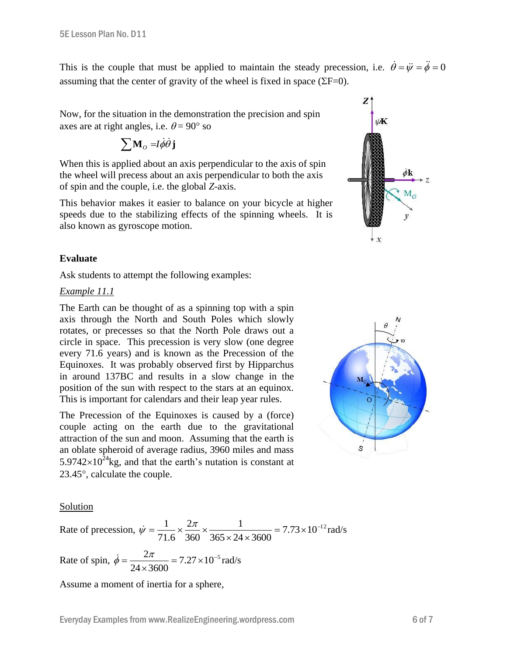This is the couple that must be applied to maintain the steady precession, i.e.  $\dot{\theta} = \ddot{\psi} = \ddot{\phi} = 0$ assuming that the center of gravity of the wheel is fixed in space  $(\Sigma F=0)$ .

Now, for the situation in the demonstration the precision and spin axes are at right angles, i.e.  $\theta = 90^{\circ}$  so

$$
\sum \mathbf{M}_o = I \dot{\phi} \dot{\theta} \mathbf{j}
$$

When this is applied about an axis perpendicular to the axis of spin the wheel will precess about an axis perpendicular to both the axis of spin and the couple, i.e. the global *Z*-axis.

This behavior makes it easier to balance on your bicycle at higher speeds due to the stabilizing effects of the spinning wheels. It is also known as gyroscope motion.



## **Evaluate**

Ask students to attempt the following examples:

#### *Example 11.1*

The Earth can be thought of as a spinning top with a spin axis through the North and South Poles which slowly rotates, or precesses so that the North Pole draws out a circle in space. This precession is very slow (one degree every 71.6 years) and is known as the Precession of the Equinoxes. It was probably observed first by Hipparchus in around 137BC and results in a slow change in the position of the sun with respect to the stars at an equinox. This is important for calendars and their leap year rules.

The Precession of the Equinoxes is caused by a (force) couple acting on the earth due to the gravitational attraction of the sun and moon. Assuming that the earth is an oblate spheroid of average radius, 3960 miles and mass 5.9742 $\times$ 10<sup>24</sup>kg, and that the earth's nutation is constant at  $23.45^{\circ}$ , calculate the couple.



#### Solution

Rate of precession, 
$$
\dot{\psi} = \frac{1}{71.6} \times \frac{2\pi}{360} \times \frac{1}{365 \times 24 \times 3600} = 7.73 \times 10^{-12} \text{rad/s}
$$

Rate of spin,  $\dot{\phi} = \frac{2\pi}{24.000} = 7.27 \times 10^{-5}$  $24 \times 3600$  $\frac{2\pi}{\sqrt{2\pi}}$  = 7.27 × 10<sup>-</sup>  $\times$  $\dot{\phi} = \frac{2\pi}{24.000} = 7.27 \times 10^{-5}$  rad/s

Assume a moment of inertia for a sphere,